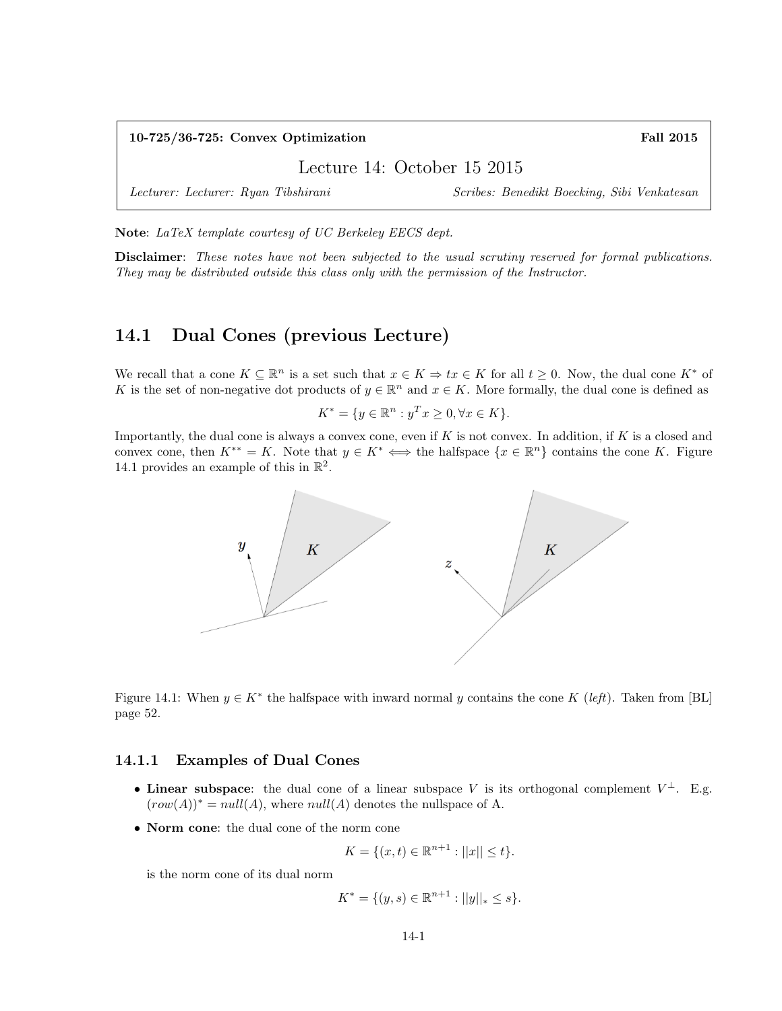10-725/36-725: Convex Optimization Fall 2015

Lecture 14: October 15 2015

Lecturer: Lecturer: Ryan Tibshirani Scribes: Benedikt Boecking, Sibi Venkatesan

Note: LaTeX template courtesy of UC Berkeley EECS dept.

Disclaimer: These notes have not been subjected to the usual scrutiny reserved for formal publications. They may be distributed outside this class only with the permission of the Instructor.

# 14.1 Dual Cones (previous Lecture)

We recall that a cone  $K \subseteq \mathbb{R}^n$  is a set such that  $x \in K \Rightarrow tx \in K$  for all  $t \geq 0$ . Now, the dual cone  $K^*$  of K is the set of non-negative dot products of  $y \in \mathbb{R}^n$  and  $x \in K$ . More formally, the dual cone is defined as

$$
K^* = \{ y \in \mathbb{R}^n : y^T x \ge 0, \forall x \in K \}.
$$

Importantly, the dual cone is always a convex cone, even if  $K$  is not convex. In addition, if  $K$  is a closed and convex cone, then  $K^{**} = K$ . Note that  $y \in K^* \iff$  the halfspace  $\{x \in \mathbb{R}^n\}$  contains the cone K. Figure 14.1 provides an example of this in  $\mathbb{R}^2$ .



Figure 14.1: When  $y \in K^*$  the halfspace with inward normal y contains the cone K (left). Taken from [BL] page 52.

#### 14.1.1 Examples of Dual Cones

- Linear subspace: the dual cone of a linear subspace V is its orthogonal complement  $V^{\perp}$ . E.g.  $(row(A))^* = null(A)$ , where  $null(A)$  denotes the nullspace of A.
- Norm cone: the dual cone of the norm cone

$$
K = \{(x, t) \in \mathbb{R}^{n+1} : ||x|| \le t\}.
$$

is the norm cone of its dual norm

$$
K^* = \{(y, s) \in \mathbb{R}^{n+1} : ||y||_* \le s\}.
$$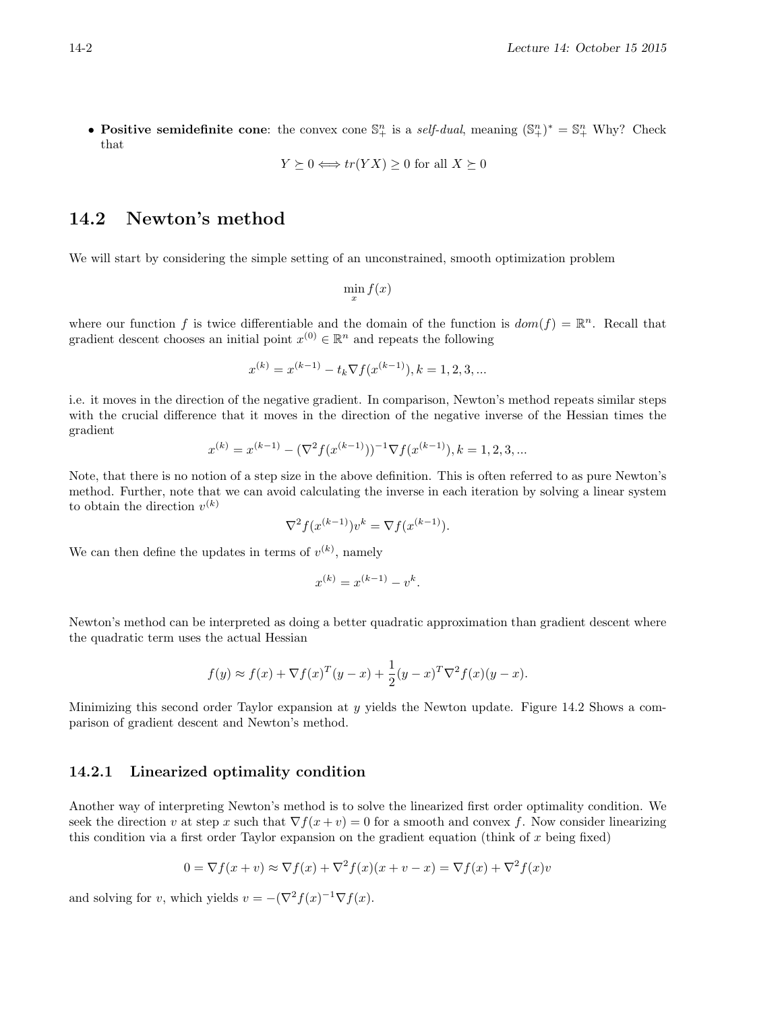• Positive semidefinite cone: the convex cone  $\mathbb{S}^n_+$  is a self-dual, meaning  $(\mathbb{S}^n_+)^* = \mathbb{S}^n_+$  Why? Check that

$$
Y \succeq 0 \Longleftrightarrow tr(YX) \ge 0 \text{ for all } X \succeq 0
$$

## 14.2 Newton's method

We will start by considering the simple setting of an unconstrained, smooth optimization problem

$$
\min_{x} f(x)
$$

where our function f is twice differentiable and the domain of the function is  $dom(f) = \mathbb{R}^n$ . Recall that gradient descent chooses an initial point  $x^{(0)} \in \mathbb{R}^n$  and repeats the following

$$
x^{(k)} = x^{(k-1)} - t_k \nabla f(x^{(k-1)}), k = 1, 2, 3, ...
$$

i.e. it moves in the direction of the negative gradient. In comparison, Newton's method repeats similar steps with the crucial difference that it moves in the direction of the negative inverse of the Hessian times the gradient

$$
x^{(k)} = x^{(k-1)} - (\nabla^2 f(x^{(k-1)}))^{-1} \nabla f(x^{(k-1)}), k = 1, 2, 3, ...
$$

Note, that there is no notion of a step size in the above definition. This is often referred to as pure Newton's method. Further, note that we can avoid calculating the inverse in each iteration by solving a linear system to obtain the direction  $v^{(k)}$ 

$$
\nabla^2 f(x^{(k-1)})v^k = \nabla f(x^{(k-1)}).
$$

We can then define the updates in terms of  $v^{(k)}$ , namely

$$
x^{(k)} = x^{(k-1)} - v^k.
$$

Newton's method can be interpreted as doing a better quadratic approximation than gradient descent where the quadratic term uses the actual Hessian

$$
f(y) \approx f(x) + \nabla f(x)^T (y - x) + \frac{1}{2} (y - x)^T \nabla^2 f(x) (y - x).
$$

Minimizing this second order Taylor expansion at  $y$  yields the Newton update. Figure 14.2 Shows a comparison of gradient descent and Newton's method.

#### 14.2.1 Linearized optimality condition

Another way of interpreting Newton's method is to solve the linearized first order optimality condition. We seek the direction v at step x such that  $\nabla f(x + v) = 0$  for a smooth and convex f. Now consider linearizing this condition via a first order Taylor expansion on the gradient equation (think of  $x$  being fixed)

$$
0 = \nabla f(x+v) \approx \nabla f(x) + \nabla^2 f(x)(x+v-x) = \nabla f(x) + \nabla^2 f(x)v
$$

and solving for v, which yields  $v = -(\nabla^2 f(x)^{-1} \nabla f(x))$ .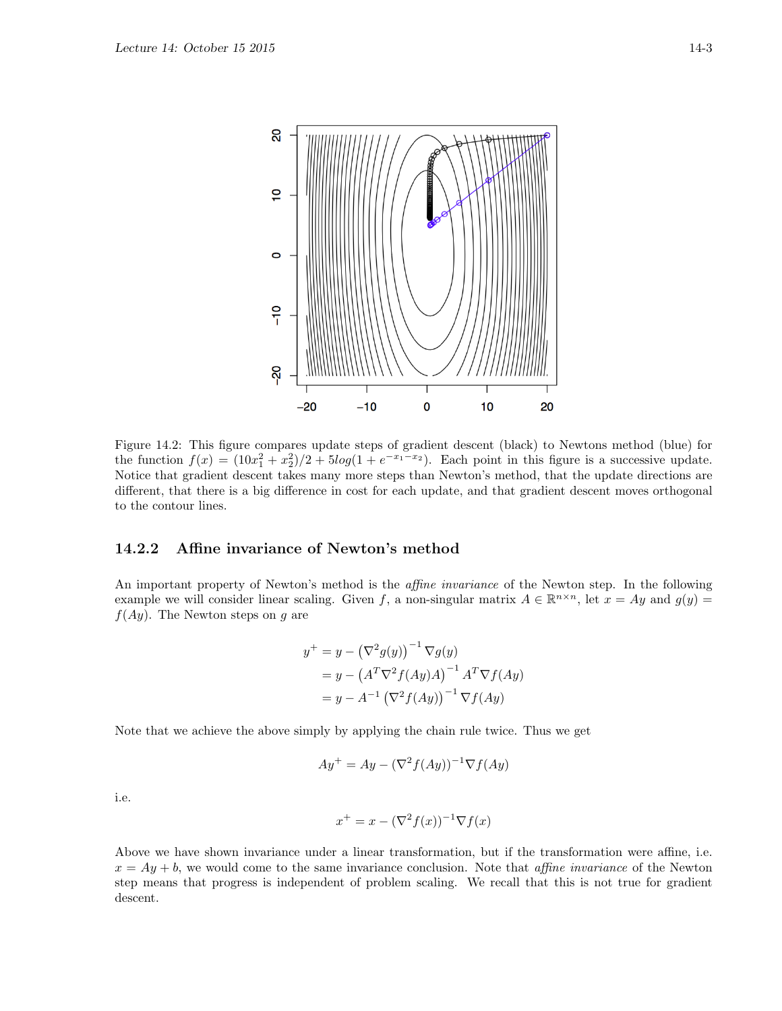

Figure 14.2: This figure compares update steps of gradient descent (black) to Newtons method (blue) for the function  $f(x) = (10x_1^2 + x_2^2)/2 + 5\log(1 + e^{-x_1-x_2})$ . Each point in this figure is a successive update. Notice that gradient descent takes many more steps than Newton's method, that the update directions are different, that there is a big difference in cost for each update, and that gradient descent moves orthogonal to the contour lines.

### 14.2.2 Affine invariance of Newton's method

An important property of Newton's method is the *affine invariance* of the Newton step. In the following example we will consider linear scaling. Given f, a non-singular matrix  $A \in \mathbb{R}^{n \times n}$ , let  $x = Ay$  and  $g(y) =$  $f(Ay)$ . The Newton steps on g are

$$
y^{+} = y - (\nabla^{2} g(y))^{-1} \nabla g(y)
$$
  
= 
$$
y - (A^{T} \nabla^{2} f(Ay) A)^{-1} A^{T} \nabla f(Ay)
$$
  
= 
$$
y - A^{-1} (\nabla^{2} f(Ay))^{-1} \nabla f(Ay)
$$

Note that we achieve the above simply by applying the chain rule twice. Thus we get

$$
Ay^{+} = Ay - (\nabla^2 f(Ay))^{-1} \nabla f(Ay)
$$

i.e.

$$
x^+ = x - (\nabla^2 f(x))^{-1} \nabla f(x)
$$

Above we have shown invariance under a linear transformation, but if the transformation were affine, i.e.  $x = Ay + b$ , we would come to the same invariance conclusion. Note that *affine invariance* of the Newton step means that progress is independent of problem scaling. We recall that this is not true for gradient descent.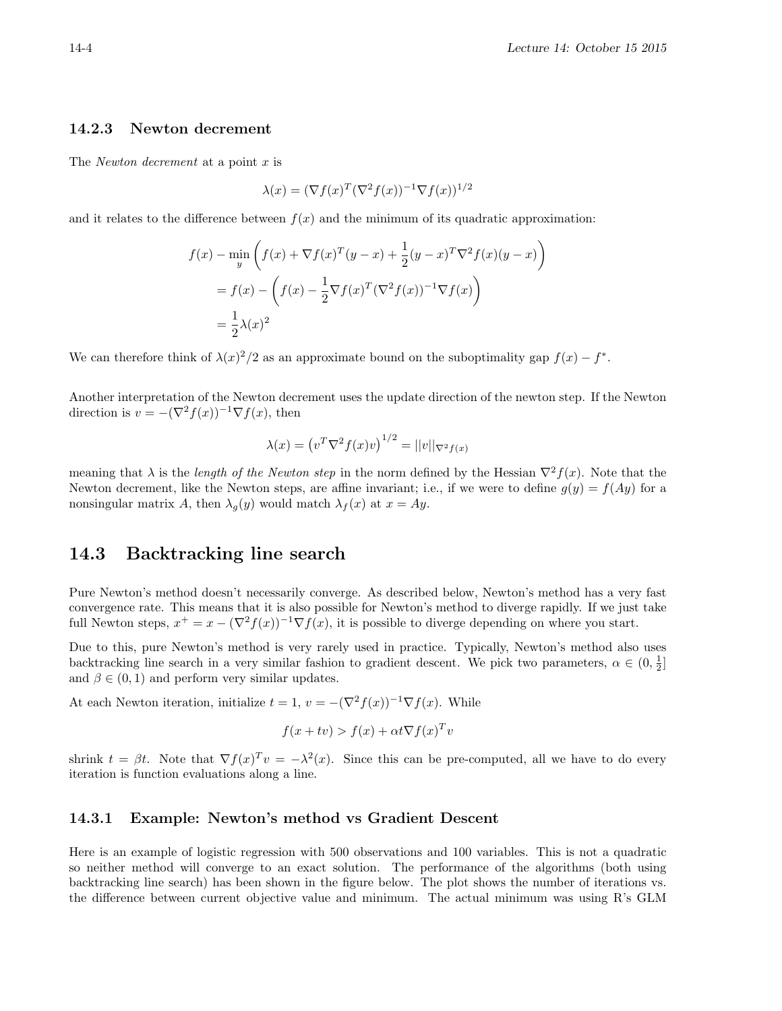#### 14.2.3 Newton decrement

The *Newton decrement* at a point  $x$  is

$$
\lambda(x) = (\nabla f(x)^T (\nabla^2 f(x))^{-1} \nabla f(x))^{1/2}
$$

and it relates to the difference between  $f(x)$  and the minimum of its quadratic approximation:

$$
f(x) - \min_{y} \left( f(x) + \nabla f(x)^{T} (y - x) + \frac{1}{2} (y - x)^{T} \nabla^{2} f(x) (y - x) \right)
$$
  
=  $f(x) - \left( f(x) - \frac{1}{2} \nabla f(x)^{T} (\nabla^{2} f(x))^{-1} \nabla f(x) \right)$   
=  $\frac{1}{2} \lambda(x)^{2}$ 

We can therefore think of  $\lambda(x)^2/2$  as an approximate bound on the suboptimality gap  $f(x) - f^*$ .

Another interpretation of the Newton decrement uses the update direction of the newton step. If the Newton direction is  $v = -(\nabla^2 f(x))^{-1} \nabla f(x)$ , then

$$
\lambda(x) = (v^T \nabla^2 f(x)v)^{1/2} = ||v||_{\nabla^2 f(x)}
$$

meaning that  $\lambda$  is the length of the Newton step in the norm defined by the Hessian  $\nabla^2 f(x)$ . Note that the Newton decrement, like the Newton steps, are affine invariant; i.e., if we were to define  $g(y) = f(Ay)$  for a nonsingular matrix A, then  $\lambda_q(y)$  would match  $\lambda_f(x)$  at  $x = Ay$ .

### 14.3 Backtracking line search

Pure Newton's method doesn't necessarily converge. As described below, Newton's method has a very fast convergence rate. This means that it is also possible for Newton's method to diverge rapidly. If we just take full Newton steps,  $x^+ = x - (\nabla^2 f(x))^{-1} \nabla f(x)$ , it is possible to diverge depending on where you start.

Due to this, pure Newton's method is very rarely used in practice. Typically, Newton's method also uses backtracking line search in a very similar fashion to gradient descent. We pick two parameters,  $\alpha \in (0, \frac{1}{2}]$ and  $\beta \in (0, 1)$  and perform very similar updates.

At each Newton iteration, initialize  $t = 1$ ,  $v = -(\nabla^2 f(x))^{-1} \nabla f(x)$ . While

$$
f(x + tv) > f(x) + \alpha t \nabla f(x)^T v
$$

shrink  $t = \beta t$ . Note that  $\nabla f(x)^T v = -\lambda^2(x)$ . Since this can be pre-computed, all we have to do every iteration is function evaluations along a line.

#### 14.3.1 Example: Newton's method vs Gradient Descent

Here is an example of logistic regression with 500 observations and 100 variables. This is not a quadratic so neither method will converge to an exact solution. The performance of the algorithms (both using backtracking line search) has been shown in the figure below. The plot shows the number of iterations vs. the difference between current objective value and minimum. The actual minimum was using R's GLM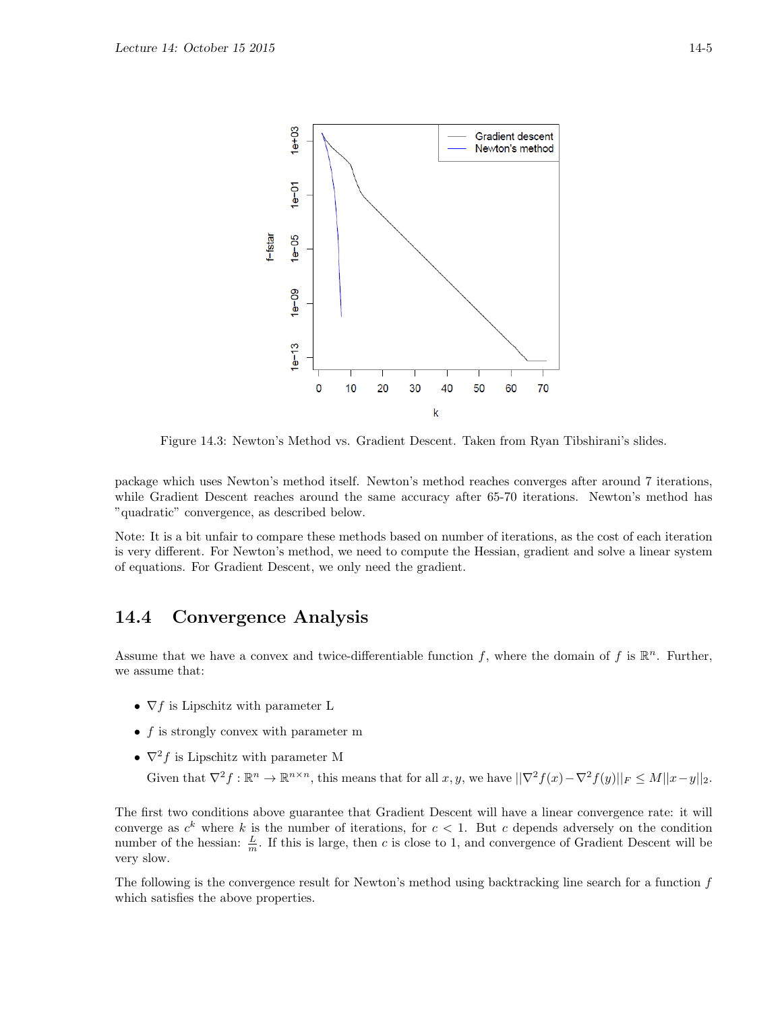

Figure 14.3: Newton's Method vs. Gradient Descent. Taken from Ryan Tibshirani's slides.

package which uses Newton's method itself. Newton's method reaches converges after around 7 iterations, while Gradient Descent reaches around the same accuracy after 65-70 iterations. Newton's method has "quadratic" convergence, as described below.

Note: It is a bit unfair to compare these methods based on number of iterations, as the cost of each iteration is very different. For Newton's method, we need to compute the Hessian, gradient and solve a linear system of equations. For Gradient Descent, we only need the gradient.

## 14.4 Convergence Analysis

Assume that we have a convex and twice-differentiable function f, where the domain of f is  $\mathbb{R}^n$ . Further, we assume that:

- $\nabla f$  is Lipschitz with parameter L
- $f$  is strongly convex with parameter m
- $\nabla^2 f$  is Lipschitz with parameter M

Given that  $\nabla^2 f : \mathbb{R}^n \to \mathbb{R}^{n \times n}$ , this means that for all  $x, y$ , we have  $||\nabla^2 f(x) - \nabla^2 f(y)||_F \leq M||x - y||_2$ .

The first two conditions above guarantee that Gradient Descent will have a linear convergence rate: it will converge as  $c^k$  where k is the number of iterations, for  $c < 1$ . But c depends adversely on the condition number of the hessian:  $\frac{L}{m}$ . If this is large, then c is close to 1, and convergence of Gradient Descent will be very slow.

The following is the convergence result for Newton's method using backtracking line search for a function f which satisfies the above properties.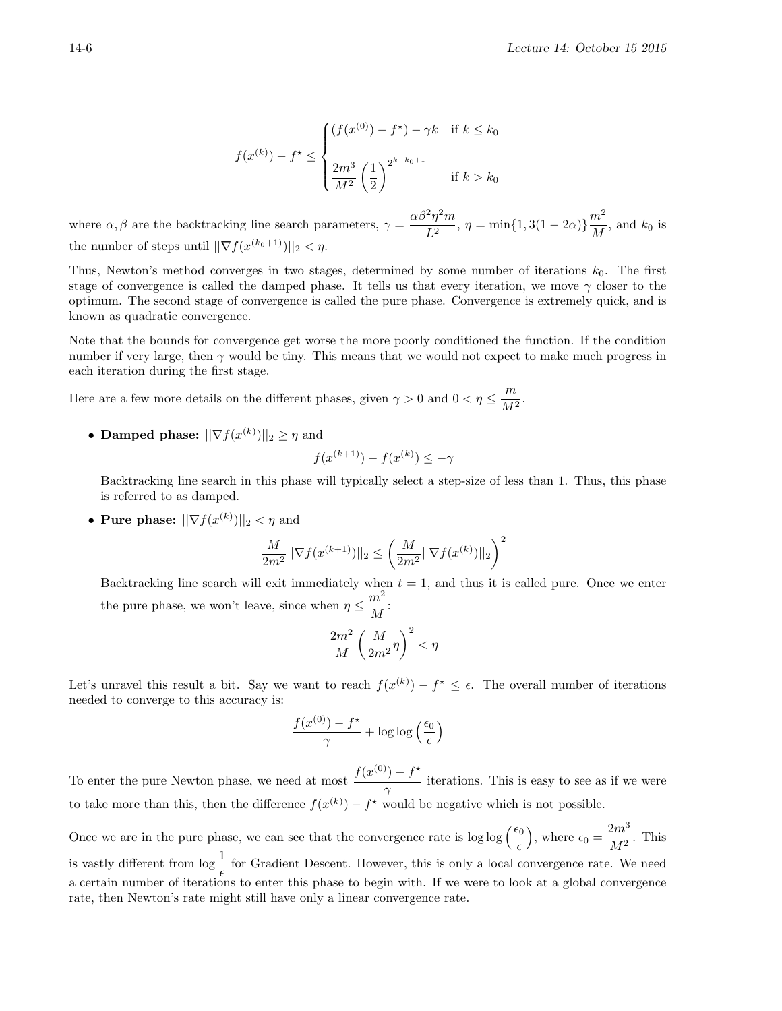$$
f(x^{(k)}) - f^* \le \begin{cases} (f(x^{(0)}) - f^*) - \gamma k & \text{if } k \le k_0 \\ \frac{2m^3}{M^2} \left(\frac{1}{2}\right)^{2^{k-k_0+1}} & \text{if } k > k_0 \end{cases}
$$

where  $\alpha, \beta$  are the backtracking line search parameters,  $\gamma = \frac{\alpha \beta^2 \eta^2 m}{L^2}$  $\frac{2\eta^2 m}{L^2}$ ,  $\eta = \min\{1, 3(1 - 2\alpha)\}\frac{m^2}{M}$  $\frac{m}{M}$ , and  $k_0$  is the number of steps until  $||\nabla f(x^{(k_0+1)})||_2 < \eta$ .

Thus, Newton's method converges in two stages, determined by some number of iterations  $k_0$ . The first stage of convergence is called the damped phase. It tells us that every iteration, we move  $\gamma$  closer to the optimum. The second stage of convergence is called the pure phase. Convergence is extremely quick, and is known as quadratic convergence.

Note that the bounds for convergence get worse the more poorly conditioned the function. If the condition number if very large, then  $\gamma$  would be tiny. This means that we would not expect to make much progress in each iteration during the first stage.

Here are a few more details on the different phases, given  $\gamma > 0$  and  $0 < \eta \leq \frac{m}{M}$  $\frac{m}{M^2}$ .

• Damped phase:  $||\nabla f(x^{(k)})||_2 \geq \eta$  and

$$
f(x^{(k+1)}) - f(x^{(k)}) \le -\gamma
$$

Backtracking line search in this phase will typically select a step-size of less than 1. Thus, this phase is referred to as damped.

• Pure phase:  $||\nabla f(x^{(k)})||_2 < \eta$  and

$$
\frac{M}{2m^2}||\nabla f(x^{(k+1)})||_2 \le \left(\frac{M}{2m^2}||\nabla f(x^{(k)})||_2\right)^2
$$

Backtracking line search will exit immediately when  $t = 1$ , and thus it is called pure. Once we enter the pure phase, we won't leave, since when  $\eta \leq \frac{m^2}{M}$  $\frac{m}{M}$ :

$$
\frac{2m^2}{M}\left(\frac{M}{2m^2}\eta\right)^2<\eta
$$

Let's unravel this result a bit. Say we want to reach  $f(x^{(k)}) - f^* \leq \epsilon$ . The overall number of iterations needed to converge to this accuracy is:

$$
\frac{f(x^{(0)}) - f^*}{\gamma} + \log \log \left(\frac{\epsilon_0}{\epsilon}\right)
$$

To enter the pure Newton phase, we need at most  $\frac{f(x^{(0)}) - f^*}{g(x^{(0)}) - f(x^{(0)})}$  $\frac{y}{\gamma}$  iterations. This is easy to see as if we were to take more than this, then the difference  $f(x^{(k)}) - f^*$  would be negative which is not possible.

Once we are in the pure phase, we can see that the convergence rate is  $\log \log \left(\frac{\epsilon_0}{\epsilon}\right)$ ), where  $\epsilon_0 = \frac{2m^3}{M^2}$  $\frac{2m}{M^2}$ . This is vastly different from  $\log \frac{1}{\epsilon}$  for Gradient Descent. However, this is only a local convergence rate. We need a certain number of iterations to enter this phase to begin with. If we were to look at a global convergence rate, then Newton's rate might still have only a linear convergence rate.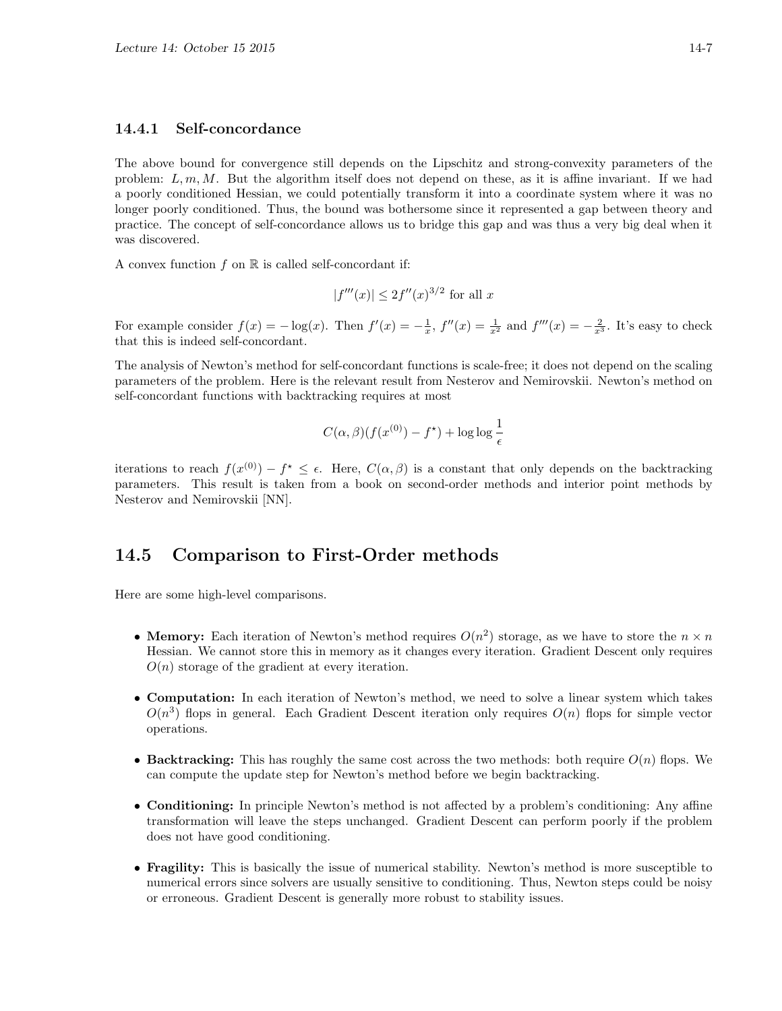#### 14.4.1 Self-concordance

The above bound for convergence still depends on the Lipschitz and strong-convexity parameters of the problem:  $L, m, M$ . But the algorithm itself does not depend on these, as it is affine invariant. If we had a poorly conditioned Hessian, we could potentially transform it into a coordinate system where it was no longer poorly conditioned. Thus, the bound was bothersome since it represented a gap between theory and practice. The concept of self-concordance allows us to bridge this gap and was thus a very big deal when it was discovered.

A convex function  $f$  on  $\mathbb R$  is called self-concordant if:

$$
|f'''(x)| \leq 2f''(x)^{3/2}
$$
 for all x

For example consider  $f(x) = -\log(x)$ . Then  $f'(x) = -\frac{1}{x}$ ,  $f''(x) = \frac{1}{x^2}$  and  $f'''(x) = -\frac{2}{x^3}$ . It's easy to check that this is indeed self-concordant.

The analysis of Newton's method for self-concordant functions is scale-free; it does not depend on the scaling parameters of the problem. Here is the relevant result from Nesterov and Nemirovskii. Newton's method on self-concordant functions with backtracking requires at most

$$
C(\alpha, \beta)(f(x^{(0)}) - f^{\star}) + \log \log \frac{1}{\epsilon}
$$

iterations to reach  $f(x^{(0)}) - f^* \leq \epsilon$ . Here,  $C(\alpha, \beta)$  is a constant that only depends on the backtracking parameters. This result is taken from a book on second-order methods and interior point methods by Nesterov and Nemirovskii [NN].

## 14.5 Comparison to First-Order methods

Here are some high-level comparisons.

- Memory: Each iteration of Newton's method requires  $O(n^2)$  storage, as we have to store the  $n \times n$ Hessian. We cannot store this in memory as it changes every iteration. Gradient Descent only requires  $O(n)$  storage of the gradient at every iteration.
- Computation: In each iteration of Newton's method, we need to solve a linear system which takes  $O(n^3)$  flops in general. Each Gradient Descent iteration only requires  $O(n)$  flops for simple vector operations.
- Backtracking: This has roughly the same cost across the two methods: both require  $O(n)$  flops. We can compute the update step for Newton's method before we begin backtracking.
- Conditioning: In principle Newton's method is not affected by a problem's conditioning: Any affine transformation will leave the steps unchanged. Gradient Descent can perform poorly if the problem does not have good conditioning.
- Fragility: This is basically the issue of numerical stability. Newton's method is more susceptible to numerical errors since solvers are usually sensitive to conditioning. Thus, Newton steps could be noisy or erroneous. Gradient Descent is generally more robust to stability issues.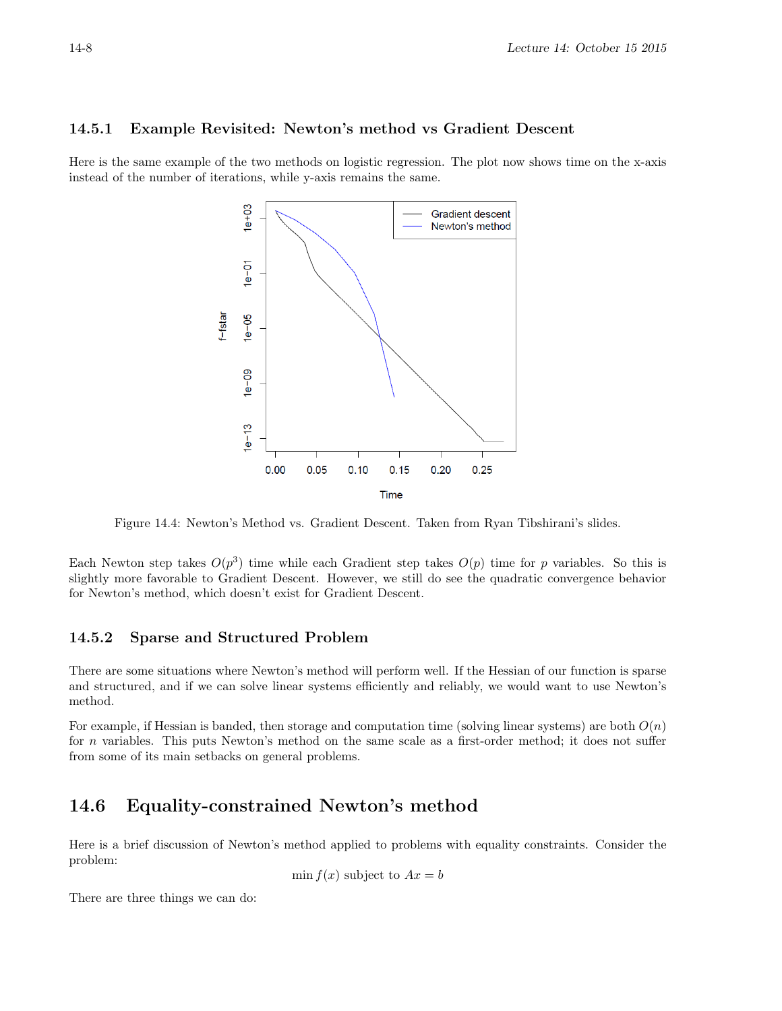### 14.5.1 Example Revisited: Newton's method vs Gradient Descent

Here is the same example of the two methods on logistic regression. The plot now shows time on the x-axis instead of the number of iterations, while y-axis remains the same.



Figure 14.4: Newton's Method vs. Gradient Descent. Taken from Ryan Tibshirani's slides.

Each Newton step takes  $O(p^3)$  time while each Gradient step takes  $O(p)$  time for p variables. So this is slightly more favorable to Gradient Descent. However, we still do see the quadratic convergence behavior for Newton's method, which doesn't exist for Gradient Descent.

#### 14.5.2 Sparse and Structured Problem

There are some situations where Newton's method will perform well. If the Hessian of our function is sparse and structured, and if we can solve linear systems efficiently and reliably, we would want to use Newton's method.

For example, if Hessian is banded, then storage and computation time (solving linear systems) are both  $O(n)$ for n variables. This puts Newton's method on the same scale as a first-order method; it does not suffer from some of its main setbacks on general problems.

# 14.6 Equality-constrained Newton's method

Here is a brief discussion of Newton's method applied to problems with equality constraints. Consider the problem:

$$
\min f(x) \text{ subject to } Ax = b
$$

There are three things we can do: